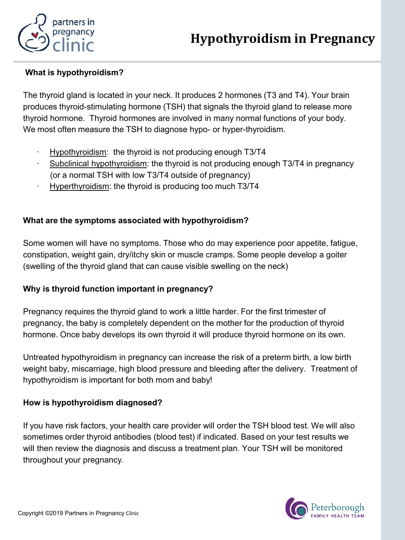



## **What is hypothyroidism?**

The thyroid gland is located in your neck. It produces 2 hormones (T3 and T4). Your brain produces thyroid-stimulating hormone (TSH) that signals the thyroid gland to release more thyroid hormone. Thyroid hormones are involved in many normal functions of your body. We most often measure the TSH to diagnose hypo- or hyper-thyroidism.

- Hypothyroidism: the thyroid is not producing enough T3/T4
- Subclinical hypothyroidism: the thyroid is not producing enough T3/T4 in pregnancy (or a normal TSH with low T3/T4 outside of pregnancy)
- Hyperthyroidism: the thyroid is producing too much T3/T4

# **What are the symptoms associated with hypothyroidism?**

Some women will have no symptoms. Those who do may experience poor appetite, fatigue, constipation, weight gain, dry/itchy skin or muscle cramps. Some people develop a goiter (swelling of the thyroid gland that can cause visible swelling on the neck)

### **Why is thyroid function important in pregnancy?**

Pregnancy requires the thyroid gland to work a little harder. For the first trimester of pregnancy, the baby is completely dependent on the mother for the production of thyroid hormone. Once baby develops its own thyroid it will produce thyroid hormone on its own.

Untreated hypothyroidism in pregnancy can increase the risk of a preterm birth, a low birth weight baby, miscarriage, high blood pressure and bleeding after the delivery. Treatment of hypothyroidism is important for both mom and baby!

### **How is hypothyroidism diagnosed?**

If you have risk factors, your health care provider will order the TSH blood test. We will also sometimes order thyroid antibodies (blood test) if indicated. Based on your test results we will then review the diagnosis and discuss a treatment plan. Your TSH will be monitored throughout your pregnancy.